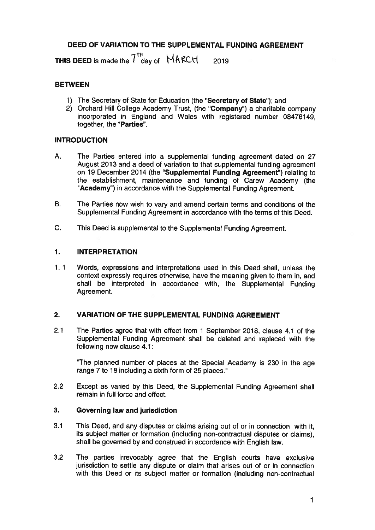# DEED OF VARIATION TO THE SUPPLEMENTAL FUNDING AGREEMENT

THIS DEED is made the  $7<sup>th</sup>$  day of NAKCH 2019

# **BETWEEN**

- 1) The Secretary of State for Education (the "Secretary of State"); and
- 2) Orchard Hill College Academy Trust, (the "Company") <sup>a</sup> charitable company incorporated in England and Wales with registered number 08476149, together, the "Parties".

# INTRODUCTION

- A. The Parties entered into <sup>a</sup> supplemental funding agreemen<sup>t</sup> dated on 27 August 2013 and <sup>a</sup> deed of variation to that supplemental funding agreemen<sup>t</sup> on 19 December 2014 (the "Supplemental Funding Agreement") relating to the establishment, maintenance and funding of Carew Academy (the "Academy') in accordance with the Supplemental Funding Agreement.
- B. The Parties now wish to vary and amend certain terms and conditions of the Supplemental Funding Agreement in accordance with the terms of this Deed.
- C. This Deed is supplemental to the Supplemental Funding Agreement.

# 1. INTERPRETATION

1. 1 Words, expressions and interpretations used in this Deed shall, unless the context expressly requires otherwise, have the meaning given to them in, and shall be interpreted in accordance with, the Supplemental Funding Agreement.

#### 2. VARIATION OF THE SUPPLEMENTAL FUNDING AGREEMENT

2.1 The Parties agree that with effect from 1 September 2018, clause 4.1 of the Supplemental Funding Agreement shall be deleted and replaced with the following new clause 4.1:

"The <sup>p</sup>lanned number of <sup>p</sup>laces at the Special Academy is <sup>230</sup> in the age range 7 to 18 including <sup>a</sup> sixth form of 25 places."

2.2 Except as varied by this Deed, the Supplemental Funding Agreement shall remain in full force and effect.

#### 3. Governing law and jurisdiction

- 3.1 This Deed, and any disputes or claims arising out of or in connection with it, its subject matter or formation (including non-contractual disputes or claims), shall be governed by and construed in accordance with English law.
- 3.2 The parties irrevocably agree that the English courts have exclusive jurisdiction to settle any dispute or claim that arises out of or in connection with this Deed or its subject matter or formation (including non-contractual